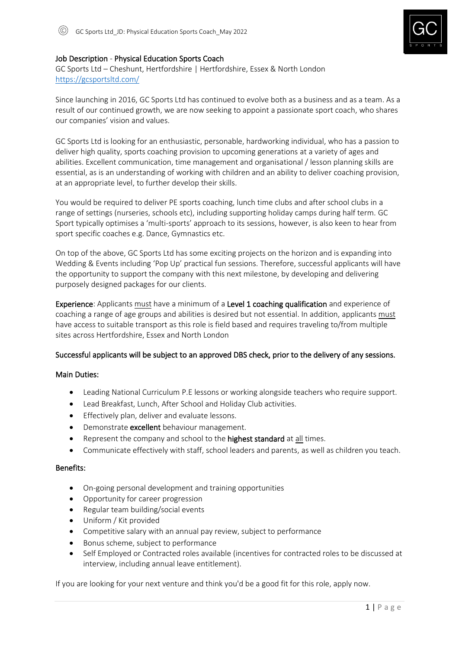

# Job Description - Physical Education Sports Coach

GC Sports Ltd – Cheshunt, Hertfordshire | Hertfordshire, Essex & North London <https://gcsportsltd.com/>

Since launching in 2016, GC Sports Ltd has continued to evolve both as a business and as a team. As a result of our continued growth, we are now seeking to appoint a passionate sport coach, who shares our companies' vision and values.

GC Sports Ltd is looking for an enthusiastic, personable, hardworking individual, who has a passion to deliver high quality, sports coaching provision to upcoming generations at a variety of ages and abilities. Excellent communication, time management and organisational / lesson planning skills are essential, as is an understanding of working with children and an ability to deliver coaching provision, at an appropriate level, to further develop their skills.

You would be required to deliver PE sports coaching, lunch time clubs and after school clubs in a range of settings (nurseries, schools etc), including supporting holiday camps during half term. GC Sport typically optimises a 'multi-sports' approach to its sessions, however, is also keen to hear from sport specific coaches e.g. Dance, Gymnastics etc.

On top of the above, GC Sports Ltd has some exciting projects on the horizon and is expanding into Wedding & Events including 'Pop Up' practical fun sessions. Therefore, successful applicants will have the opportunity to support the company with this next milestone, by developing and delivering purposely designed packages for our clients.

Experience: Applicants must have a minimum of a Level 1 coaching qualification and experience of coaching a range of age groups and abilities is desired but not essential. In addition, applicants must have access to suitable transport as this role is field based and requires traveling to/from multiple sites across Hertfordshire, Essex and North London

## Successful applicants will be subject to an approved DBS check, prior to the delivery of any sessions.

## Main Duties:

- Leading National Curriculum P.E lessons or working alongside teachers who require support.
- Lead Breakfast, Lunch, After School and Holiday Club activities.
- Effectively plan, deliver and evaluate lessons.
- Demonstrate excellent behaviour management.
- Represent the company and school to the **highest standard** at all times.
- Communicate effectively with staff, school leaders and parents, as well as children you teach.

## Benefits:

- On-going personal development and training opportunities
- Opportunity for career progression
- Regular team building/social events
- Uniform / Kit provided
- Competitive salary with an annual pay review, subject to performance
- Bonus scheme, subject to performance
- Self Employed or Contracted roles available (incentives for contracted roles to be discussed at interview, including annual leave entitlement).

If you are looking for your next venture and think you'd be a good fit for this role, apply now.